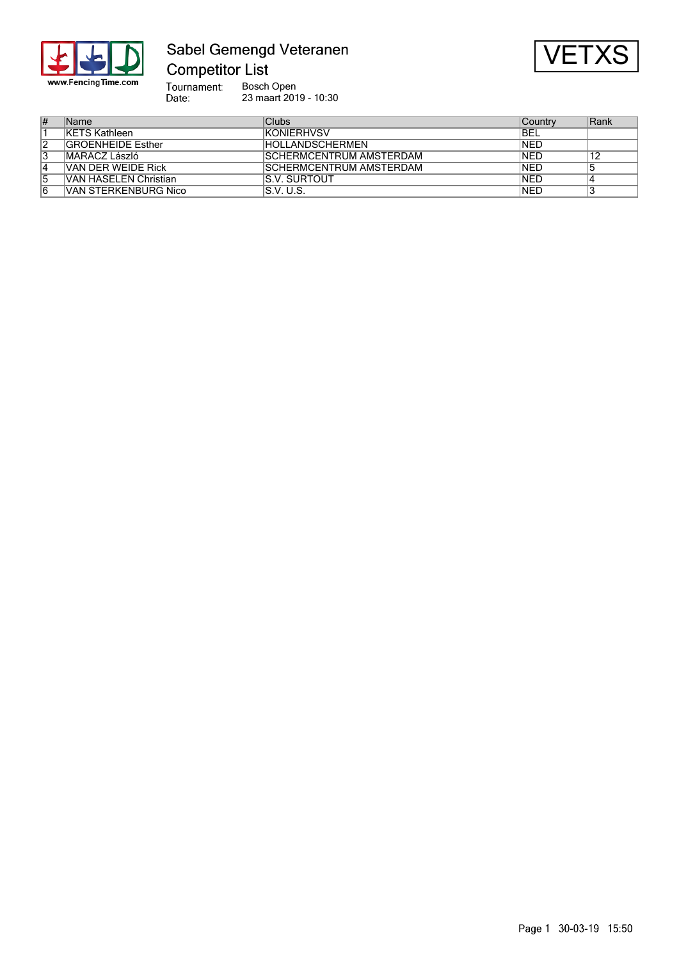

# Sabel Gemengd Veteranen



Bosch Open 23 maart 2019 - 10:30

| # | Name                     | Clubs                          | <b>Country</b> | Rank |
|---|--------------------------|--------------------------------|----------------|------|
|   | <b>KETS Kathleen</b>     | <b>KONIFRHVSV</b>              | IBEL           |      |
| 2 | <b>GROENHEIDE Esther</b> | <b>HOLLANDSCHERMEN</b>         | <b>INED</b>    |      |
| 3 | MARÁCZ László            | SCHERMCENTRUM AMSTERDAM        | <b>INED</b>    | 12   |
| 4 | VAN DER WEIDE Rick       | <b>SCHERMCENTRUM AMSTERDAM</b> | <b>INED</b>    |      |
| 5 | VAN HASELEN Christian    | <b>IS.V. SURTOUT</b>           | <b>INED</b>    |      |
| 6 | VAN STERKENBURG Nico     | IS.V. U.S.                     | <b>INED</b>    |      |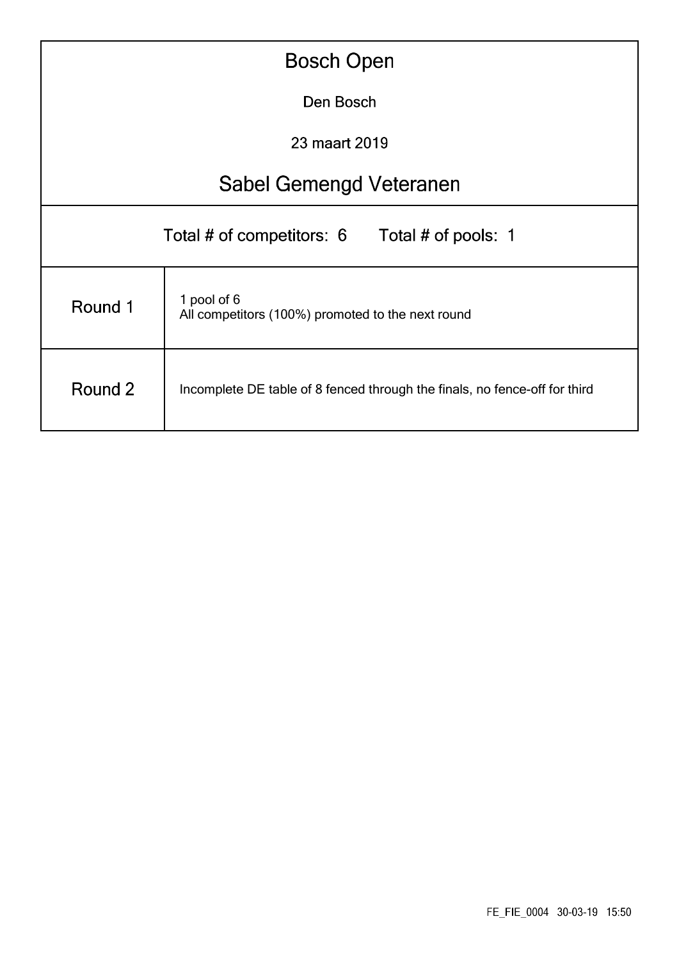| <b>Bosch Open</b>                                |                                                                            |  |  |  |  |  |  |  |  |
|--------------------------------------------------|----------------------------------------------------------------------------|--|--|--|--|--|--|--|--|
|                                                  | Den Bosch                                                                  |  |  |  |  |  |  |  |  |
|                                                  | 23 maart 2019                                                              |  |  |  |  |  |  |  |  |
|                                                  | Sabel Gemengd Veteranen                                                    |  |  |  |  |  |  |  |  |
| Total # of competitors: 6<br>Total # of pools: 1 |                                                                            |  |  |  |  |  |  |  |  |
| Round 1                                          | 1 pool of 6<br>All competitors (100%) promoted to the next round           |  |  |  |  |  |  |  |  |
| Round 2                                          | Incomplete DE table of 8 fenced through the finals, no fence-off for third |  |  |  |  |  |  |  |  |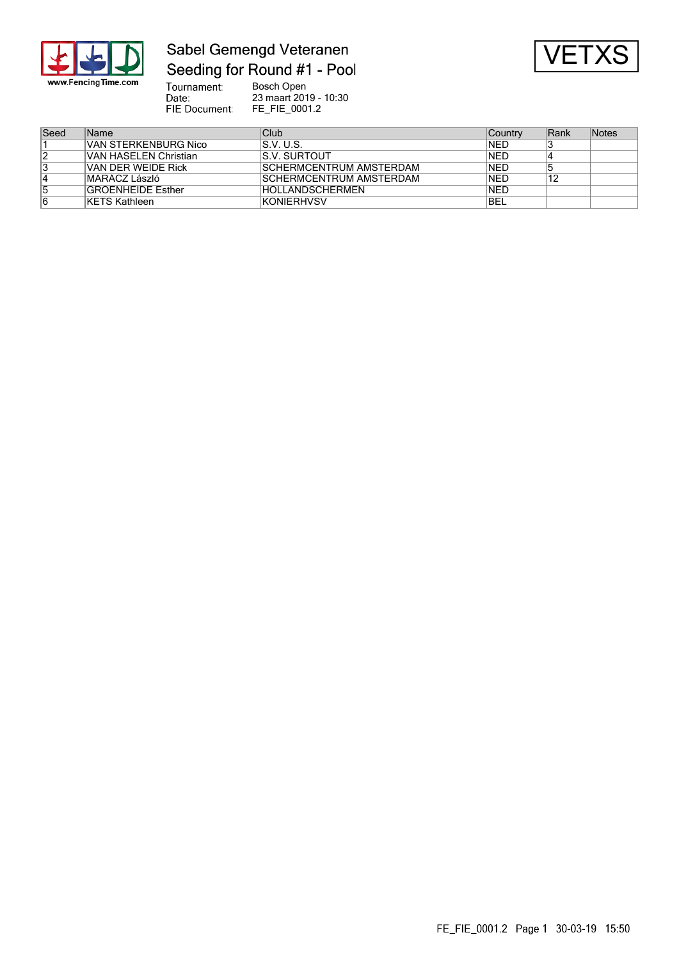

## Sabel Gemengd Veteranen Seeding for Round #1 - Pool



Tournament:<br>Date: Bosch Open 23 maart 2019 - 10:30 FIE Document: FE\_FIE\_0001.2

| Seed | Name                     | Club                    | Country     | Rank | Notes |
|------|--------------------------|-------------------------|-------------|------|-------|
|      | VAN STERKENBURG Nico     | IS.V. U.S.              | INED        |      |       |
|      | VAN HASELEN Christian    | IS.V. SURTOUT           | <b>INED</b> |      |       |
|      | VAN DER WEIDE Rick       | SCHERMCENTRUM AMSTERDAM | INED        |      |       |
|      | MARÁCZ László            | SCHERMCENTRUM AMSTERDAM | INED        | 12   |       |
|      | <b>GROENHEIDE Esther</b> | HOLLANDSCHERMEN         | INED        |      |       |
|      | <b>KETS Kathleen</b>     | IKONIERHVSV             | <b>IBEL</b> |      |       |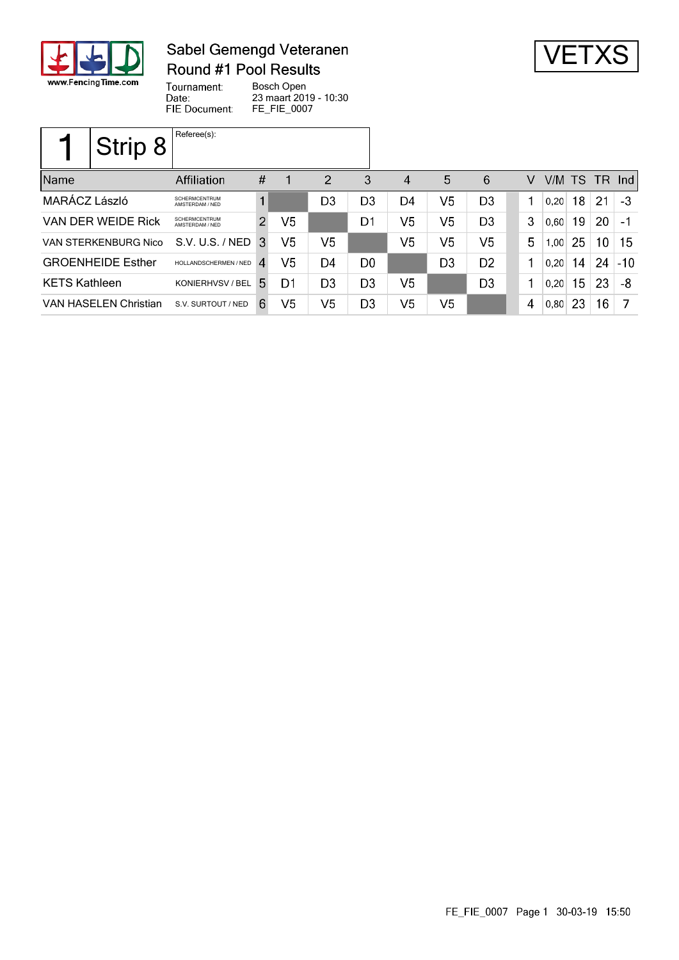

### Sabel Gemengd Veteranen Round #1 Pool Results



Tournament: Bosch Open Date: 23 maart 2019 - 10:30 FIE Document: FE\_FIE\_0007

|                              | Strip 8 | Referee(s):                             |                |    |                |                |                |                |                |   |        |    |                 |       |
|------------------------------|---------|-----------------------------------------|----------------|----|----------------|----------------|----------------|----------------|----------------|---|--------|----|-----------------|-------|
| Name                         |         | Affiliation                             | $\#$           |    | $\overline{2}$ | 3              | $\overline{4}$ | 5              | 6              | V | V/M TS |    | - TR            | Ind   |
| MARÁCZ László                |         | <b>SCHERMCENTRUM</b><br>AMSTERDAM / NED | 1              |    | D3             | D3             | D4             | V <sub>5</sub> | D <sub>3</sub> | 1 | 0,20   | 18 | 21              | -3    |
| VAN DER WEIDE Rick           |         | <b>SCHERMCENTRUM</b><br>AMSTERDAM / NED | $\overline{2}$ | V5 |                | D1             | V5             | V5             | D <sub>3</sub> | 3 | 0,60   | 19 | 20              | - 1   |
| VAN STERKENBURG Nico         |         | S.V. U.S. / NED                         | 3              | V5 | V5             |                | V5             | V5             | V5             | 5 | 1,00   | 25 | 10 <sup>°</sup> | 15    |
| <b>GROENHEIDE Esther</b>     |         | HOLLANDSCHERMEN / NED                   | 4              | V5 | D4             | D <sub>0</sub> |                | D <sub>3</sub> | D <sub>2</sub> | 1 | 0.20   | 14 | 24              | $-10$ |
| <b>KETS Kathleen</b>         |         | KONIERHVSV / BEL                        | 5.             | D1 | D <sub>3</sub> | D <sub>3</sub> | V <sub>5</sub> |                | D <sub>3</sub> | 1 | 0,20   | 15 | 23              | -8    |
| <b>VAN HASELEN Christian</b> |         | S.V. SURTOUT / NED                      | 6              | V5 | V5             | D <sub>3</sub> | V5             | V <sub>5</sub> |                | 4 | 0,80   | 23 | 16              |       |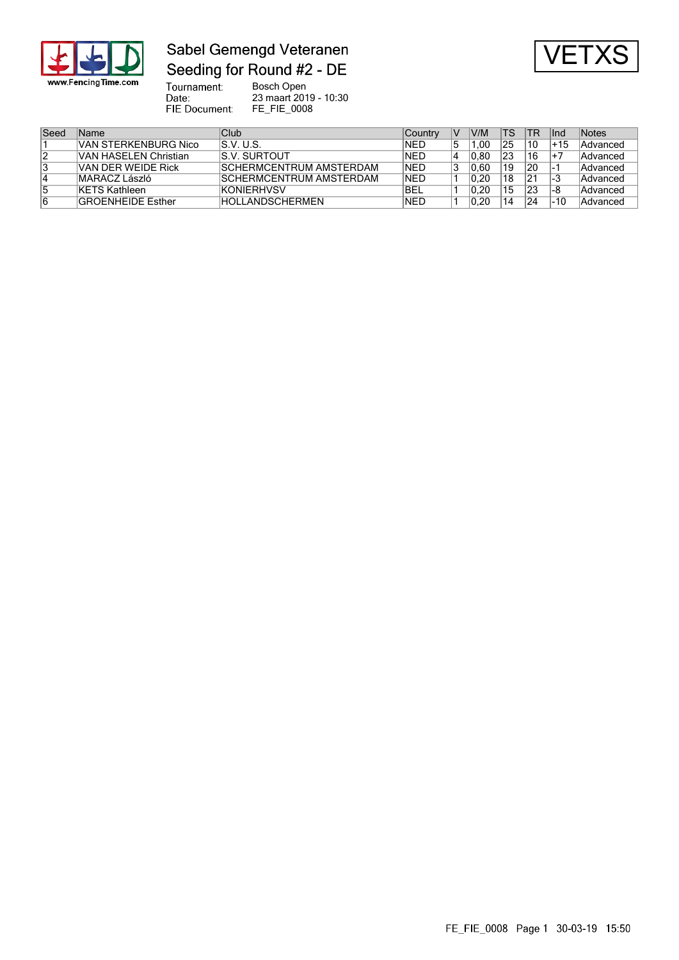

### Sabel Gemengd Veteranen Seeding for Round #2 - DE



Tournament:<br>Date: Bosch Open 23 maart 2019 - 10:30 FIE Document: FE\_FIE\_0008

| Seed | Name                     | Club                     | <b>Country</b> | V/M   | TS | TR. | lnd   | Notes    |
|------|--------------------------|--------------------------|----------------|-------|----|-----|-------|----------|
|      | VAN STERKENBURG Nico     | IS.V. U.S.               | INED           | .00   | 25 | 10  | +15   | Advanced |
| 12   | VAN HASELEN Christian    | <b>S.V. SURTOUT</b>      | INED           | 10.80 | 23 | 16  | $1+7$ | Advanced |
| 13   | VAN DER WEIDE Rick       | ISCHERMCENTRUM AMSTERDAM | INED           | 0.60  | 19 | 20  |       | Advanced |
| 14   | MARÁCZ László            | ISCHFRMCFNTRUM AMSTFRDAM | INED           | 0.20  | 18 | 21  | l-3   | Advanced |
| 15   | KETS Kathleen            | <b>KONIERHVSV</b>        | <b>IBEL</b>    | 0.20  | 15 | 23  | -8    | Advanced |
| 16   | <b>GROENHEIDE Esther</b> | <b>HOLLANDSCHERMEN</b>   | INED           | 0.20  | 14 | 24  | -10   | Advanced |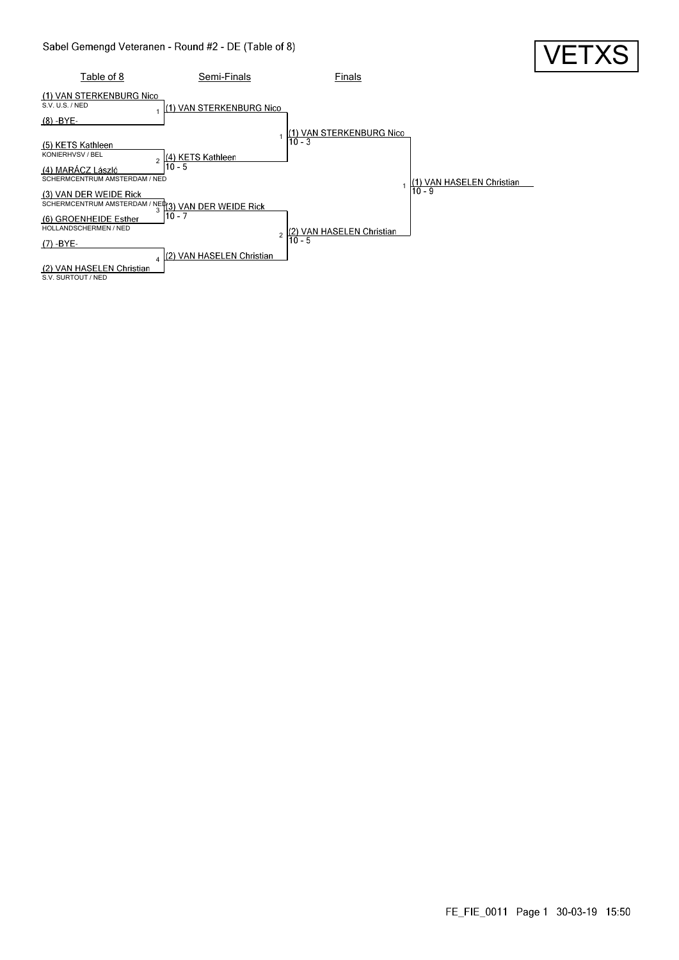

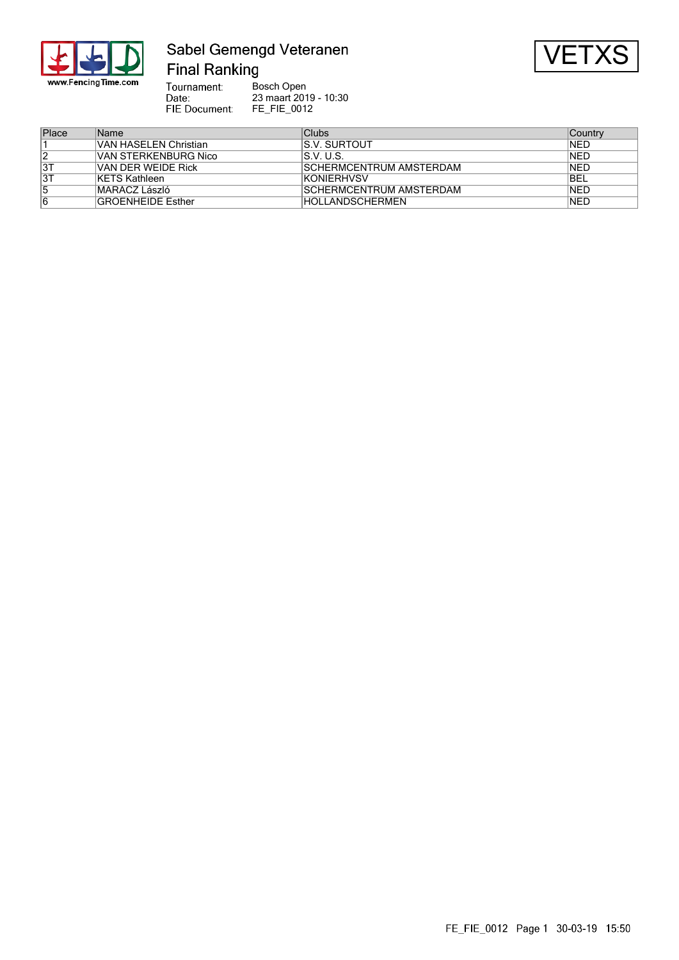

### Sabel Gemengd Veteranen **Final Ranking**



Tournament: Bosch Open Date: 23 maart 2019 - 10:30 FIE Document: FE\_FIE\_0012

| Place | <b>Name</b>              | Clubs                   | ∣Countrv    |
|-------|--------------------------|-------------------------|-------------|
|       | VAN HASELEN Christian    | IS.V. SURTOUT           | INED        |
|       | IVAN STERKENBURG Nico    | IS.V. U.S.              | INED        |
| 3T    | VAN DER WEIDE Rick       | SCHERMCENTRUM AMSTERDAM | INED        |
| 3T    | <b>KETS Kathleen</b>     | <b>KONIERHVSV</b>       | <b>IBEL</b> |
|       | MARÁCZ László            | SCHERMCENTRUM AMSTERDAM | INED        |
| 6     | <b>GROENHEIDE Esther</b> | <b>HOLLANDSCHERMEN</b>  | INED        |